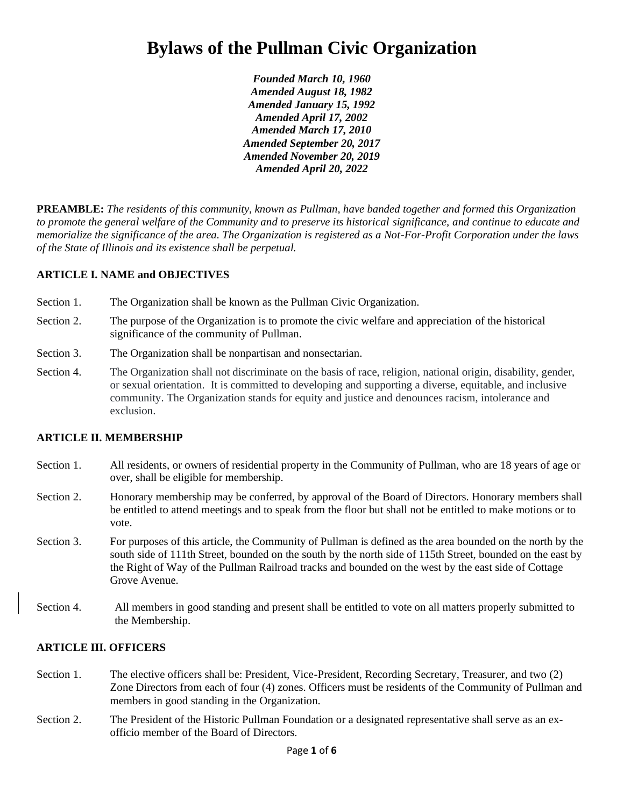# **Bylaws of the Pullman Civic Organization**

*Founded March 10, 1960 Amended August 18, 1982 Amended January 15, 1992 Amended April 17, 2002 Amended March 17, 2010 Amended September 20, 2017 Amended November 20, 2019 Amended April 20, 2022*

**PREAMBLE:** *The residents of this community, known as Pullman, have banded together and formed this Organization to promote the general welfare of the Community and to preserve its historical significance, and continue to educate and memorialize the significance of the area. The Organization is registered as a Not-For-Profit Corporation under the laws of the State of Illinois and its existence shall be perpetual.*

## **ARTICLE I. NAME and OBJECTIVES**

- Section 1. The Organization shall be known as the Pullman Civic Organization.
- Section 2. The purpose of the Organization is to promote the civic welfare and appreciation of the historical significance of the community of Pullman.
- Section 3. The Organization shall be nonpartisan and nonsectarian.
- Section 4. The Organization shall not discriminate on the basis of race, religion, national origin, disability, gender, or sexual orientation. It is committed to developing and supporting a diverse, equitable, and inclusive community. The Organization stands for equity and justice and denounces racism, intolerance and exclusion.

#### **ARTICLE II. MEMBERSHIP**

- Section 1. All residents, or owners of residential property in the Community of Pullman, who are 18 years of age or over, shall be eligible for membership.
- Section 2. Honorary membership may be conferred, by approval of the Board of Directors. Honorary members shall be entitled to attend meetings and to speak from the floor but shall not be entitled to make motions or to vote.
- Section 3. For purposes of this article, the Community of Pullman is defined as the area bounded on the north by the south side of 111th Street, bounded on the south by the north side of 115th Street, bounded on the east by the Right of Way of the Pullman Railroad tracks and bounded on the west by the east side of Cottage Grove Avenue.
- Section 4. All members in good standing and present shall be entitled to vote on all matters properly submitted to the Membership.

#### **ARTICLE III. OFFICERS**

- Section 1. The elective officers shall be: President, Vice-President, Recording Secretary, Treasurer, and two (2) Zone Directors from each of four (4) zones. Officers must be residents of the Community of Pullman and members in good standing in the Organization.
- Section 2. The President of the Historic Pullman Foundation or a designated representative shall serve as an exofficio member of the Board of Directors.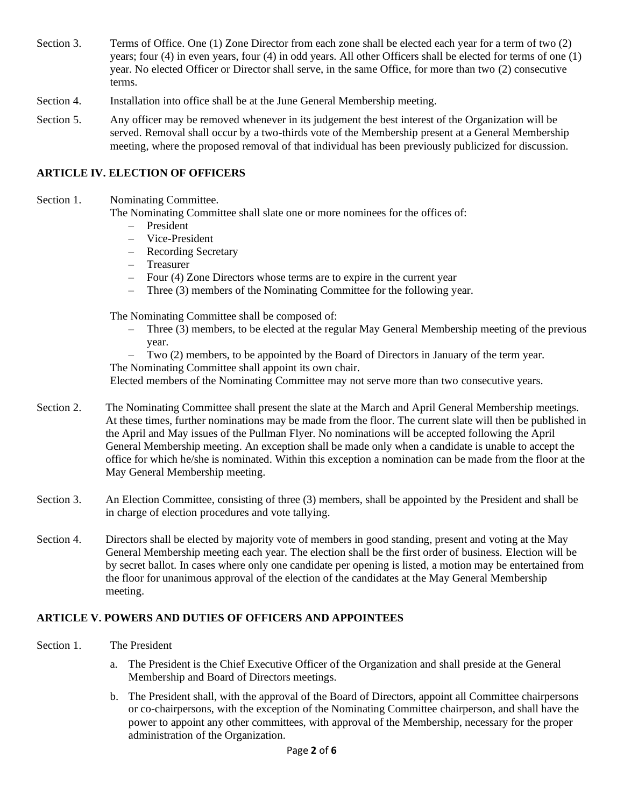- Section 3. Terms of Office. One (1) Zone Director from each zone shall be elected each year for a term of two (2) years; four (4) in even years, four (4) in odd years. All other Officers shall be elected for terms of one (1) year. No elected Officer or Director shall serve, in the same Office, for more than two (2) consecutive terms.
- Section 4. Installation into office shall be at the June General Membership meeting.
- Section 5. Any officer may be removed whenever in its judgement the best interest of the Organization will be served. Removal shall occur by a two-thirds vote of the Membership present at a General Membership meeting, where the proposed removal of that individual has been previously publicized for discussion.

### **ARTICLE IV. ELECTION OF OFFICERS**

Section 1. Nominating Committee.

The Nominating Committee shall slate one or more nominees for the offices of:

- President
- Vice-President
- Recording Secretary
- Treasurer
- Four (4) Zone Directors whose terms are to expire in the current year
- Three (3) members of the Nominating Committee for the following year.

The Nominating Committee shall be composed of:

- Three (3) members, to be elected at the regular May General Membership meeting of the previous year.
- Two (2) members, to be appointed by the Board of Directors in January of the term year.

The Nominating Committee shall appoint its own chair.

Elected members of the Nominating Committee may not serve more than two consecutive years.

- Section 2. The Nominating Committee shall present the slate at the March and April General Membership meetings. At these times, further nominations may be made from the floor. The current slate will then be published in the April and May issues of the Pullman Flyer. No nominations will be accepted following the April General Membership meeting. An exception shall be made only when a candidate is unable to accept the office for which he/she is nominated. Within this exception a nomination can be made from the floor at the May General Membership meeting.
- Section 3. An Election Committee, consisting of three (3) members, shall be appointed by the President and shall be in charge of election procedures and vote tallying.
- Section 4. Directors shall be elected by majority vote of members in good standing, present and voting at the May General Membership meeting each year. The election shall be the first order of business. Election will be by secret ballot. In cases where only one candidate per opening is listed, a motion may be entertained from the floor for unanimous approval of the election of the candidates at the May General Membership meeting.

## **ARTICLE V. POWERS AND DUTIES OF OFFICERS AND APPOINTEES**

- Section 1. The President
	- a. The President is the Chief Executive Officer of the Organization and shall preside at the General Membership and Board of Directors meetings.
	- b. The President shall, with the approval of the Board of Directors, appoint all Committee chairpersons or co-chairpersons, with the exception of the Nominating Committee chairperson, and shall have the power to appoint any other committees, with approval of the Membership, necessary for the proper administration of the Organization.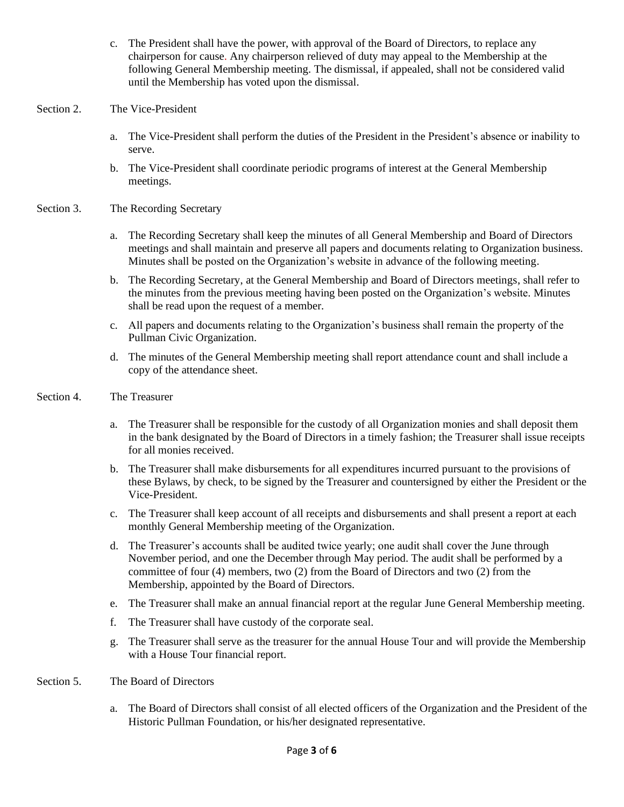- c. The President shall have the power, with approval of the Board of Directors, to replace any chairperson for cause. Any chairperson relieved of duty may appeal to the Membership at the following General Membership meeting. The dismissal, if appealed, shall not be considered valid until the Membership has voted upon the dismissal.
- Section 2. The Vice-President
	- a. The Vice-President shall perform the duties of the President in the President's absence or inability to serve.
	- b. The Vice-President shall coordinate periodic programs of interest at the General Membership meetings.
- Section 3. The Recording Secretary
	- a. The Recording Secretary shall keep the minutes of all General Membership and Board of Directors meetings and shall maintain and preserve all papers and documents relating to Organization business. Minutes shall be posted on the Organization's website in advance of the following meeting.
	- b. The Recording Secretary, at the General Membership and Board of Directors meetings, shall refer to the minutes from the previous meeting having been posted on the Organization's website. Minutes shall be read upon the request of a member.
	- c. All papers and documents relating to the Organization's business shall remain the property of the Pullman Civic Organization.
	- d. The minutes of the General Membership meeting shall report attendance count and shall include a copy of the attendance sheet.
- Section 4. The Treasurer
	- a. The Treasurer shall be responsible for the custody of all Organization monies and shall deposit them in the bank designated by the Board of Directors in a timely fashion; the Treasurer shall issue receipts for all monies received.
	- b. The Treasurer shall make disbursements for all expenditures incurred pursuant to the provisions of these Bylaws, by check, to be signed by the Treasurer and countersigned by either the President or the Vice-President.
	- c. The Treasurer shall keep account of all receipts and disbursements and shall present a report at each monthly General Membership meeting of the Organization.
	- d. The Treasurer's accounts shall be audited twice yearly; one audit shall cover the June through November period, and one the December through May period. The audit shall be performed by a committee of four (4) members, two (2) from the Board of Directors and two (2) from the Membership, appointed by the Board of Directors.
	- e. The Treasurer shall make an annual financial report at the regular June General Membership meeting.
	- f. The Treasurer shall have custody of the corporate seal.
	- g. The Treasurer shall serve as the treasurer for the annual House Tour and will provide the Membership with a House Tour financial report.
- Section 5. The Board of Directors
	- a. The Board of Directors shall consist of all elected officers of the Organization and the President of the Historic Pullman Foundation, or his/her designated representative.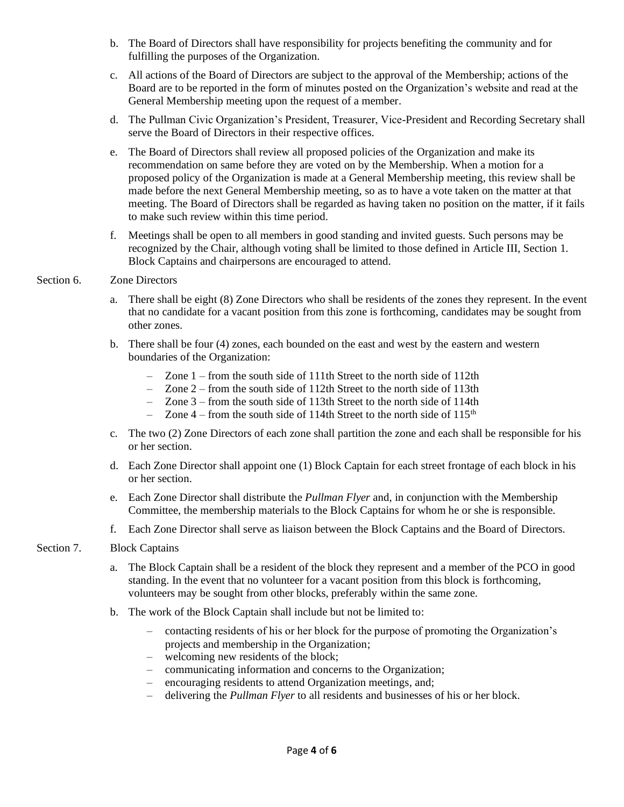- b. The Board of Directors shall have responsibility for projects benefiting the community and for fulfilling the purposes of the Organization.
- c. All actions of the Board of Directors are subject to the approval of the Membership; actions of the Board are to be reported in the form of minutes posted on the Organization's website and read at the General Membership meeting upon the request of a member.
- d. The Pullman Civic Organization's President, Treasurer, Vice-President and Recording Secretary shall serve the Board of Directors in their respective offices.
- e. The Board of Directors shall review all proposed policies of the Organization and make its recommendation on same before they are voted on by the Membership. When a motion for a proposed policy of the Organization is made at a General Membership meeting, this review shall be made before the next General Membership meeting, so as to have a vote taken on the matter at that meeting. The Board of Directors shall be regarded as having taken no position on the matter, if it fails to make such review within this time period.
- f. Meetings shall be open to all members in good standing and invited guests. Such persons may be recognized by the Chair, although voting shall be limited to those defined in Article III, Section 1. Block Captains and chairpersons are encouraged to attend.

#### Section 6. Zone Directors

- a. There shall be eight (8) Zone Directors who shall be residents of the zones they represent. In the event that no candidate for a vacant position from this zone is forthcoming, candidates may be sought from other zones.
- b. There shall be four (4) zones, each bounded on the east and west by the eastern and western boundaries of the Organization:
	- Zone 1 from the south side of 111th Street to the north side of 112th
	- Zone 2 from the south side of 112th Street to the north side of 113th
	- Zone 3 from the south side of 113th Street to the north side of 114th
	- Zone  $4$  from the south side of 114th Street to the north side of 115<sup>th</sup>
- c. The two (2) Zone Directors of each zone shall partition the zone and each shall be responsible for his or her section.
- d. Each Zone Director shall appoint one (1) Block Captain for each street frontage of each block in his or her section.
- e. Each Zone Director shall distribute the *Pullman Flyer* and, in conjunction with the Membership Committee, the membership materials to the Block Captains for whom he or she is responsible.
- f. Each Zone Director shall serve as liaison between the Block Captains and the Board of Directors.

#### Section 7. Block Captains

- a. The Block Captain shall be a resident of the block they represent and a member of the PCO in good standing. In the event that no volunteer for a vacant position from this block is forthcoming, volunteers may be sought from other blocks, preferably within the same zone.
- b. The work of the Block Captain shall include but not be limited to:
	- contacting residents of his or her block for the purpose of promoting the Organization's projects and membership in the Organization;
	- welcoming new residents of the block;
	- communicating information and concerns to the Organization;
	- encouraging residents to attend Organization meetings, and;
	- delivering the *Pullman Flyer* to all residents and businesses of his or her block.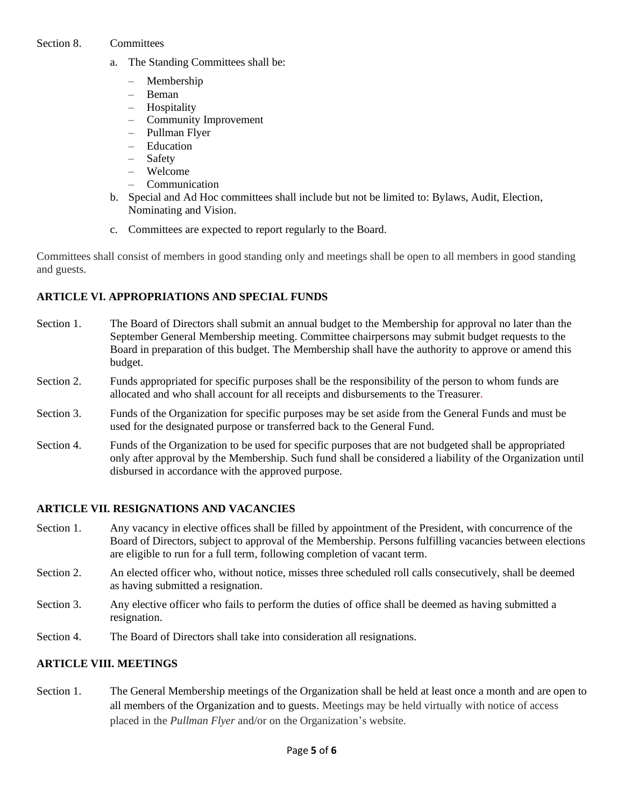#### Section 8. Committees

- a. The Standing Committees shall be:
	- Membership
	- Beman
	- Hospitality
	- Community Improvement
	- Pullman Flyer
	- Education
	- Safety
	- Welcome
	- Communication
- b. Special and Ad Hoc committees shall include but not be limited to: Bylaws, Audit, Election, Nominating and Vision.
- c. Committees are expected to report regularly to the Board.

Committees shall consist of members in good standing only and meetings shall be open to all members in good standing and guests.

# **ARTICLE VI. APPROPRIATIONS AND SPECIAL FUNDS**

- Section 1. The Board of Directors shall submit an annual budget to the Membership for approval no later than the September General Membership meeting. Committee chairpersons may submit budget requests to the Board in preparation of this budget. The Membership shall have the authority to approve or amend this budget.
- Section 2. Funds appropriated for specific purposes shall be the responsibility of the person to whom funds are allocated and who shall account for all receipts and disbursements to the Treasurer.
- Section 3. Funds of the Organization for specific purposes may be set aside from the General Funds and must be used for the designated purpose or transferred back to the General Fund.
- Section 4. Funds of the Organization to be used for specific purposes that are not budgeted shall be appropriated only after approval by the Membership. Such fund shall be considered a liability of the Organization until disbursed in accordance with the approved purpose.

## **ARTICLE VII. RESIGNATIONS AND VACANCIES**

- Section 1. Any vacancy in elective offices shall be filled by appointment of the President, with concurrence of the Board of Directors, subject to approval of the Membership. Persons fulfilling vacancies between elections are eligible to run for a full term, following completion of vacant term.
- Section 2. An elected officer who, without notice, misses three scheduled roll calls consecutively, shall be deemed as having submitted a resignation.
- Section 3. Any elective officer who fails to perform the duties of office shall be deemed as having submitted a resignation.
- Section 4. The Board of Directors shall take into consideration all resignations.

# **ARTICLE VIII. MEETINGS**

Section 1. The General Membership meetings of the Organization shall be held at least once a month and are open to all members of the Organization and to guests. Meetings may be held virtually with notice of access placed in the *Pullman Flyer* and/or on the Organization's website.